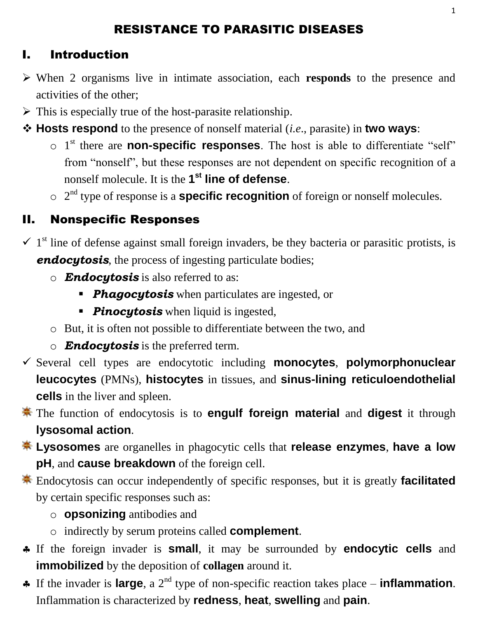## RESISTANCE TO PARASITIC DISEASES

## I. Introduction

- When 2 organisms live in intimate association, each **responds** to the presence and activities of the other;
- $\triangleright$  This is especially true of the host-parasite relationship.
- **Hosts respond** to the presence of nonself material (*i.e*., parasite) in **two ways**:
	- o 1 st there are **non-specific responses**. The host is able to differentiate "self" from "nonself", but these responses are not dependent on specific recognition of a nonself molecule. It is the **1 st line of defense**.
	- o 2 nd type of response is a **specific recognition** of foreign or nonself molecules.

## II. Nonspecific Responses

- $\checkmark$  1<sup>st</sup> line of defense against small foreign invaders, be they bacteria or parasitic protists, is *endocytosis*, the process of ingesting particulate bodies;
	- o *Endocytosis* is also referred to as:
		- **Phagocytosis** when particulates are ingested, or
		- **Pinocytosis** when liquid is ingested,
	- o But, it is often not possible to differentiate between the two, and
	- o *Endocytosis* is the preferred term.
- Several cell types are endocytotic including **monocytes**, **polymorphonuclear leucocytes** (PMNs), **histocytes** in tissues, and **sinus-lining reticuloendothelial cells** in the liver and spleen.
- The function of endocytosis is to **engulf foreign material** and **digest** it through **lysosomal action**.
- **Lysosomes** are organelles in phagocytic cells that **release enzymes**, **have a low pH**, and **cause breakdown** of the foreign cell.
- Endocytosis can occur independently of specific responses, but it is greatly **facilitated** by certain specific responses such as:
	- o **opsonizing** antibodies and
	- o indirectly by serum proteins called **complement**.
- If the foreign invader is **small**, it may be surrounded by **endocytic cells** and **immobilized** by the deposition of **collagen** around it.
- If the invader is **large**, a 2nd type of non-specific reaction takes place **inflammation**. Inflammation is characterized by **redness**, **heat**, **swelling** and **pain**.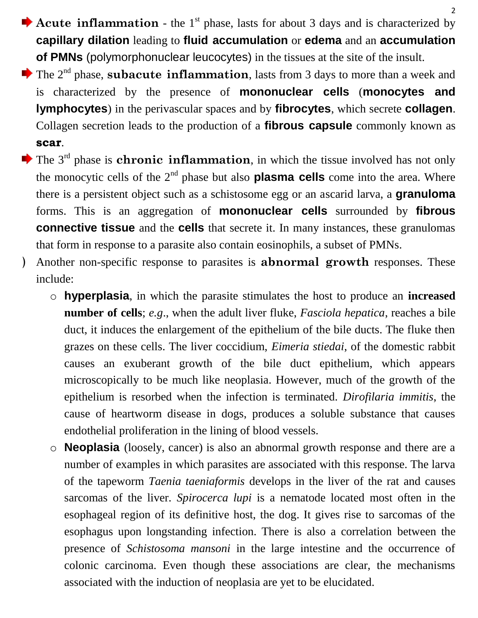- Acute inflammation the 1<sup>st</sup> phase, lasts for about 3 days and is characterized by **capillary dilation** leading to **fluid accumulation** or **edema** and an **accumulation of PMNs** (polymorphonuclear leucocytes) in the tissues at the site of the insult.
- The 2<sup>nd</sup> phase, **subacute inflammation**, lasts from 3 days to more than a week and is characterized by the presence of **mononuclear cells** (**monocytes and lymphocytes**) in the perivascular spaces and by **fibrocytes**, which secrete **collagen**. Collagen secretion leads to the production of a **fibrous capsule** commonly known as **scar**.
- $\blacktriangleright$  The 3<sup>rd</sup> phase is **chronic inflammation**, in which the tissue involved has not only the monocytic cells of the  $2<sup>nd</sup>$  phase but also **plasma cells** come into the area. Where there is a persistent object such as a schistosome egg or an ascarid larva, a **granuloma** forms. This is an aggregation of **mononuclear cells** surrounded by **fibrous connective tissue** and the **cells** that secrete it. In many instances, these granulomas that form in response to a parasite also contain eosinophils, a subset of PMNs.
- ﴿ Another non-specific response to parasites is **abnormal growth** responses. These include:
	- o **hyperplasia**, in which the parasite stimulates the host to produce an **increased number of cells**; *e.g*., when the adult liver fluke, *Fasciola hepatica*, reaches a bile duct, it induces the enlargement of the epithelium of the bile ducts. The fluke then grazes on these cells. The liver coccidium, *Eimeria stiedai*, of the domestic rabbit causes an exuberant growth of the bile duct epithelium, which appears microscopically to be much like neoplasia. However, much of the growth of the epithelium is resorbed when the infection is terminated. *Dirofilaria immitis*, the cause of heartworm disease in dogs, produces a soluble substance that causes endothelial proliferation in the lining of blood vessels.
	- o **Neoplasia** (loosely, cancer) is also an abnormal growth response and there are a number of examples in which parasites are associated with this response. The larva of the tapeworm *Taenia taeniaformis* develops in the liver of the rat and causes sarcomas of the liver. *Spirocerca lupi* is a nematode located most often in the esophageal region of its definitive host, the dog. It gives rise to sarcomas of the esophagus upon longstanding infection. There is also a correlation between the presence of *Schistosoma mansoni* in the large intestine and the occurrence of colonic carcinoma. Even though these associations are clear, the mechanisms associated with the induction of neoplasia are yet to be elucidated.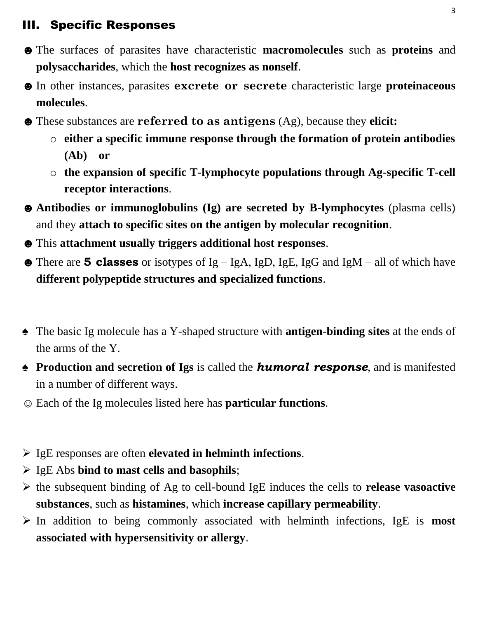## III. Specific Responses

- ☻The surfaces of parasites have characteristic **macromolecules** such as **proteins** and **polysaccharides**, which the **host recognizes as nonself**.
- ☻In other instances, parasites **excrete or secrete** characteristic large **proteinaceous molecules**.
- ☻These substances are **referred to as antigens** (Ag), because they **elicit:**
	- o **either a specific immune response through the formation of protein antibodies (Ab) or**
	- o **the expansion of specific T-lymphocyte populations through Ag-specific T-cell receptor interactions**.
- ☻**Antibodies or immunoglobulins (Ig) are secreted by B-lymphocytes** (plasma cells) and they **attach to specific sites on the antigen by molecular recognition**.
- ☻This **attachment usually triggers additional host responses**.
- ☻There are **5 classes** or isotypes of Ig IgA, IgD, IgE, IgG and IgM all of which have **different polypeptide structures and specialized functions**.
- ♠ The basic Ig molecule has a Y-shaped structure with **antigen-binding sites** at the ends of the arms of the Y.
- ♠ **Production and secretion of Igs** is called the *humoral response*, and is manifested in a number of different ways.
- ☺ Each of the Ig molecules listed here has **particular functions**.
- IgE responses are often **elevated in helminth infections**.
- IgE Abs **bind to mast cells and basophils**;
- the subsequent binding of Ag to cell-bound IgE induces the cells to **release vasoactive substances**, such as **histamines**, which **increase capillary permeability**.
- In addition to being commonly associated with helminth infections, IgE is **most associated with hypersensitivity or allergy**.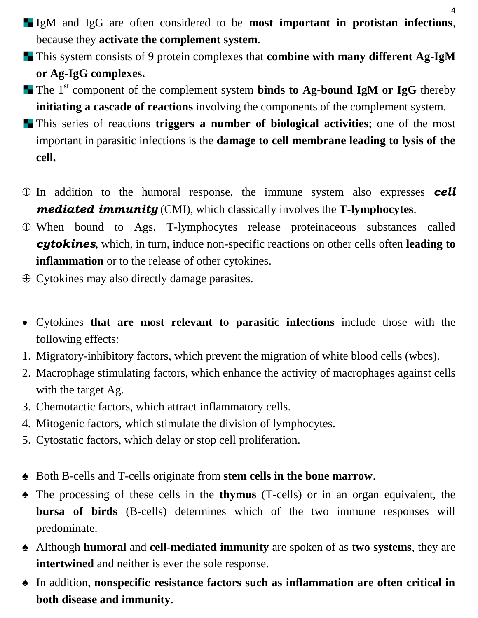- IgM and IgG are often considered to be **most important in protistan infections**, because they **activate the complement system**.
- This system consists of 9 protein complexes that **combine with many different Ag-IgM or Ag-IgG complexes.**
- **The 1<sup>st</sup> component of the complement system binds to Ag-bound IgM or IgG** thereby **initiating a cascade of reactions** involving the components of the complement system.
- This series of reactions **triggers a number of biological activities**; one of the most important in parasitic infections is the **damage to cell membrane leading to lysis of the cell.**
- $\oplus$  In addition to the humoral response, the immune system also expresses **cell** *mediated immunity* (CMI), which classically involves the **T-lymphocytes**.
- $\oplus$  When bound to Ags, T-lymphocytes release proteinaceous substances called *cytokines*, which, in turn, induce non-specific reactions on other cells often **leading to inflammation** or to the release of other cytokines.
- $\oplus$  Cytokines may also directly damage parasites.
- Cytokines **that are most relevant to parasitic infections** include those with the following effects:
- 1. Migratory-inhibitory factors, which prevent the migration of white blood cells (wbcs).
- 2. Macrophage stimulating factors, which enhance the activity of macrophages against cells with the target Ag.
- 3. Chemotactic factors, which attract inflammatory cells.
- 4. Mitogenic factors, which stimulate the division of lymphocytes.
- 5. Cytostatic factors, which delay or stop cell proliferation.
- ♠ Both B-cells and T-cells originate from **stem cells in the bone marrow**.
- ♠ The processing of these cells in the **thymus** (T-cells) or in an organ equivalent, the **bursa of birds** (B-cells) determines which of the two immune responses will predominate.
- ♠ Although **humoral** and **cell-mediated immunity** are spoken of as **two systems**, they are **intertwined** and neither is ever the sole response.
- ♠ In addition, **nonspecific resistance factors such as inflammation are often critical in both disease and immunity**.